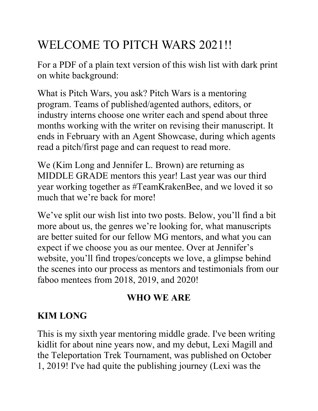## WELCOME TO PITCH WARS 2021!!

For a PDF of a plain text version of this wish list with dark print on white background:

What is Pitch Wars, you ask? Pitch Wars is a mentoring program. Teams of published/agented authors, editors, or industry interns choose one writer each and spend about three months working with the writer on revising their manuscript. It ends in February with an Agent Showcase, during which agents read a pitch/first page and can request to read more.

We (Kim Long and Jennifer L. Brown) are returning as MIDDLE GRADE mentors this year! Last year was our third year working together as #TeamKrakenBee, and we loved it so much that we're back for more!

We've split our wish list into two posts. Below, you'll find a bit more about us, the genres we're looking for, what manuscripts are better suited for our fellow MG mentors, and what you can expect if we choose you as our mentee. Over at Jennifer's website, you'll find tropes/concepts we love, a glimpse behind the scenes into our process as mentors and testimonials from our faboo mentees from 2018, 2019, and 2020!

#### WHO WE ARE

#### KIM LONG

This is my sixth year mentoring middle grade. I've been writing kidlit for about nine years now, and my debut, Lexi Magill and the Teleportation Trek Tournament, was published on October 1, 2019! I've had quite the publishing journey (Lexi was the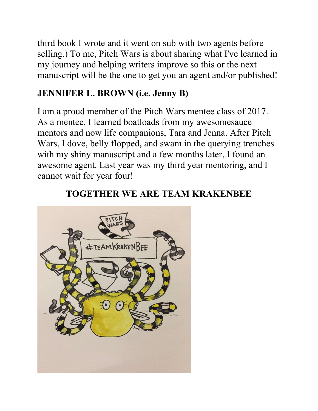third book I wrote and it went on sub with two agents before selling.) To me, Pitch Wars is about sharing what I've learned in my journey and helping writers improve so this or the next manuscript will be the one to get you an agent and/or published!

#### JENNIFER L. BROWN (i.e. Jenny B)

I am a proud member of the Pitch Wars mentee class of 2017. As a mentee, I learned boatloads from my awesomesauce mentors and now life companions, Tara and Jenna. After Pitch Wars, I dove, belly flopped, and swam in the querying trenches with my shiny manuscript and a few months later, I found an awesome agent. Last year was my third year mentoring, and I cannot wait for year four!



#### TOGETHER WE ARE TEAM KRAKENBEE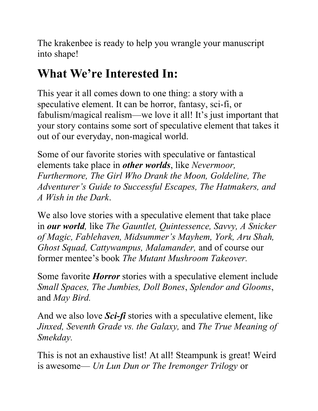The krakenbee is ready to help you wrangle your manuscript into shape!

# What We're Interested In:

This year it all comes down to one thing: a story with a speculative element. It can be horror, fantasy, sci-fi, or fabulism/magical realism—we love it all! It's just important that your story contains some sort of speculative element that takes it out of our everyday, non-magical world.

Some of our favorite stories with speculative or fantastical elements take place in other worlds, like Nevermoor, Furthermore, The Girl Who Drank the Moon, Goldeline, The Adventurer's Guide to Successful Escapes, The Hatmakers, and A Wish in the Dark.

We also love stories with a speculative element that take place in our world, like The Gauntlet, Quintessence, Savvy, A Snicker of Magic, Fablehaven, Midsummer's Mayhem, York, Aru Shah, Ghost Squad, Cattywampus, Malamander, and of course our former mentee's book The Mutant Mushroom Takeover.

Some favorite *Horror* stories with a speculative element include Small Spaces, The Jumbies, Doll Bones, Splendor and Glooms, and May Bird.

And we also love *Sci-fi* stories with a speculative element, like Jinxed, Seventh Grade vs. the Galaxy, and The True Meaning of Smekday.

This is not an exhaustive list! At all! Steampunk is great! Weird is awesome— Un Lun Dun or The Iremonger Trilogy or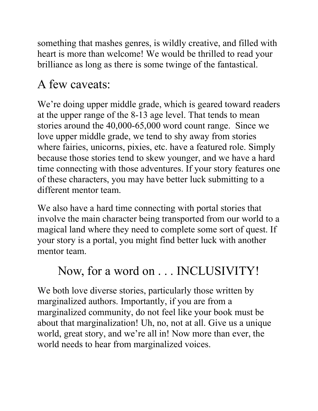something that mashes genres, is wildly creative, and filled with heart is more than welcome! We would be thrilled to read your brilliance as long as there is some twinge of the fantastical.

# A few caveats:

We're doing upper middle grade, which is geared toward readers at the upper range of the 8-13 age level. That tends to mean stories around the 40,000-65,000 word count range. Since we love upper middle grade, we tend to shy away from stories where fairies, unicorns, pixies, etc. have a featured role. Simply because those stories tend to skew younger, and we have a hard time connecting with those adventures. If your story features one of these characters, you may have better luck submitting to a different mentor team.

We also have a hard time connecting with portal stories that involve the main character being transported from our world to a magical land where they need to complete some sort of quest. If your story is a portal, you might find better luck with another mentor team.

## Now, for a word on . . . INCLUSIVITY!

We both love diverse stories, particularly those written by marginalized authors. Importantly, if you are from a marginalized community, do not feel like your book must be about that marginalization! Uh, no, not at all. Give us a unique world, great story, and we're all in! Now more than ever, the world needs to hear from marginalized voices.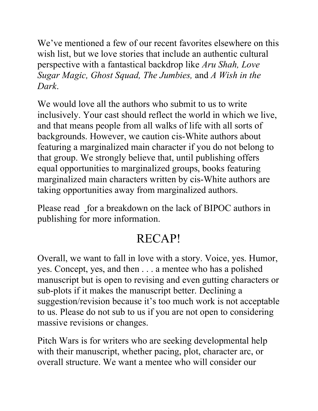We've mentioned a few of our recent favorites elsewhere on this wish list, but we love stories that include an authentic cultural perspective with a fantastical backdrop like Aru Shah, Love Sugar Magic, Ghost Squad, The Jumbies, and A Wish in the Dark.

We would love all the authors who submit to us to write inclusively. Your cast should reflect the world in which we live, and that means people from all walks of life with all sorts of backgrounds. However, we caution cis-White authors about featuring a marginalized main character if you do not belong to that group. We strongly believe that, until publishing offers equal opportunities to marginalized groups, books featuring marginalized main characters written by cis-White authors are taking opportunities away from marginalized authors.

Please read for a breakdown on the lack of BIPOC authors in publishing for more information.

### RECAP!

Overall, we want to fall in love with a story. Voice, yes. Humor, yes. Concept, yes, and then . . . a mentee who has a polished manuscript but is open to revising and even gutting characters or sub-plots if it makes the manuscript better. Declining a suggestion/revision because it's too much work is not acceptable to us. Please do not sub to us if you are not open to considering massive revisions or changes.

Pitch Wars is for writers who are seeking developmental help with their manuscript, whether pacing, plot, character arc, or overall structure. We want a mentee who will consider our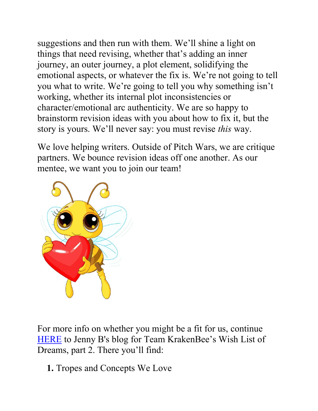suggestions and then run with them. We'll shine a light on things that need revising, whether that's adding an inner journey, an outer journey, a plot element, solidifying the emotional aspects, or whatever the fix is. We're not going to tell you what to write. We're going to tell you why something isn't working, whether its internal plot inconsistencies or character/emotional arc authenticity. We are so happy to brainstorm revision ideas with you about how to fix it, but the story is yours. We'll never say: you must revise this way.

We love helping writers. Outside of Pitch Wars, we are critique partners. We bounce revision ideas off one another. As our mentee, we want you to join our team!



For more info on whether you might be a fit for us, continue HERE to Jenny B's blog for Team KrakenBee's Wish List of Dreams, part 2. There you'll find:

1. Tropes and Concepts We Love